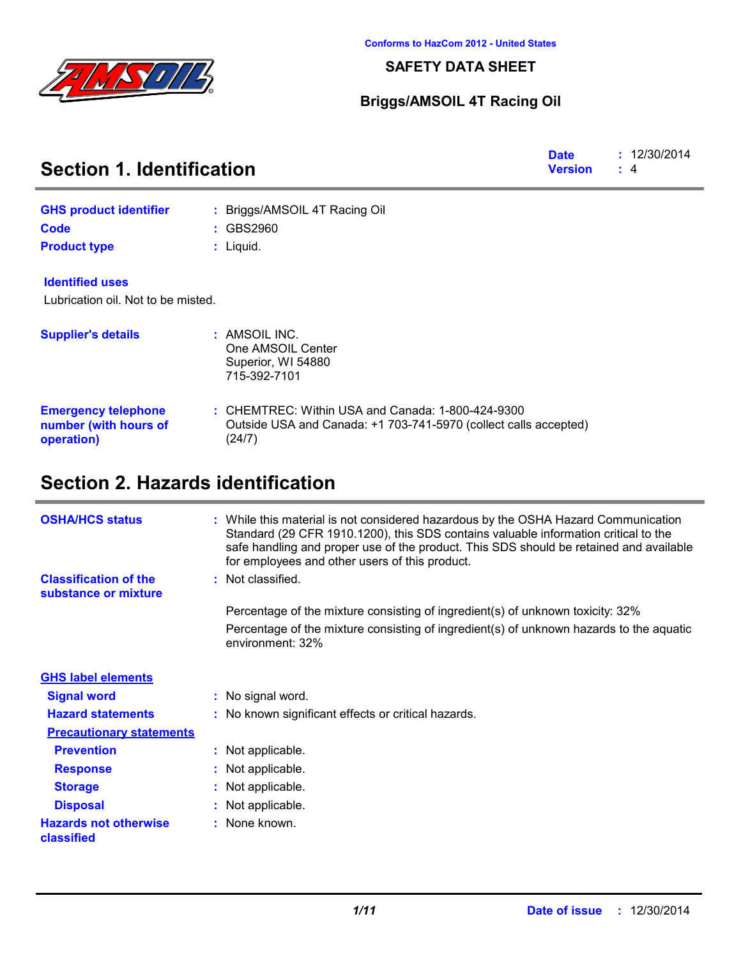

**SAFETY DATA SHEET**

### **Briggs/AMSOIL 4T Racing Oil**

| <b>Section 1. Identification</b>                                  | <b>Date</b><br><b>Version</b>                                                                                                     | : 12/30/2014<br>: 4 |  |
|-------------------------------------------------------------------|-----------------------------------------------------------------------------------------------------------------------------------|---------------------|--|
| <b>GHS product identifier</b>                                     | : Briggs/AMSOIL 4T Racing Oil                                                                                                     |                     |  |
| <b>Code</b>                                                       | : GBS2960                                                                                                                         |                     |  |
| <b>Product type</b>                                               | $:$ Liquid.                                                                                                                       |                     |  |
| <b>Identified uses</b>                                            |                                                                                                                                   |                     |  |
| Lubrication oil. Not to be misted.                                |                                                                                                                                   |                     |  |
| <b>Supplier's details</b>                                         | : AMSOIL INC.<br>One AMSOIL Center<br>Superior, WI 54880<br>715-392-7101                                                          |                     |  |
| <b>Emergency telephone</b><br>number (with hours of<br>operation) | $:$ CHEMTREC: Within USA and Canada: 1-800-424-9300<br>Outside USA and Canada: +1 703-741-5970 (collect calls accepted)<br>(24/7) |                     |  |

| <b>OSHA/HCS status</b>                               | : While this material is not considered hazardous by the OSHA Hazard Communication<br>Standard (29 CFR 1910.1200), this SDS contains valuable information critical to the<br>safe handling and proper use of the product. This SDS should be retained and available<br>for employees and other users of this product. |
|------------------------------------------------------|-----------------------------------------------------------------------------------------------------------------------------------------------------------------------------------------------------------------------------------------------------------------------------------------------------------------------|
| <b>Classification of the</b><br>substance or mixture | : Not classified.                                                                                                                                                                                                                                                                                                     |
|                                                      | Percentage of the mixture consisting of ingredient(s) of unknown toxicity: 32%                                                                                                                                                                                                                                        |
|                                                      | Percentage of the mixture consisting of ingredient(s) of unknown hazards to the aquatic<br>environment: 32%                                                                                                                                                                                                           |
| <b>GHS label elements</b>                            |                                                                                                                                                                                                                                                                                                                       |
| <b>Signal word</b>                                   | : No signal word.                                                                                                                                                                                                                                                                                                     |
| <b>Hazard statements</b>                             | : No known significant effects or critical hazards.                                                                                                                                                                                                                                                                   |
| <b>Precautionary statements</b>                      |                                                                                                                                                                                                                                                                                                                       |
| <b>Prevention</b>                                    | : Not applicable.                                                                                                                                                                                                                                                                                                     |
| <b>Response</b>                                      | : Not applicable.                                                                                                                                                                                                                                                                                                     |
| <b>Storage</b>                                       | : Not applicable.                                                                                                                                                                                                                                                                                                     |
| <b>Disposal</b>                                      | : Not applicable.                                                                                                                                                                                                                                                                                                     |
| <b>Hazards not otherwise</b><br>classified           | : None known.                                                                                                                                                                                                                                                                                                         |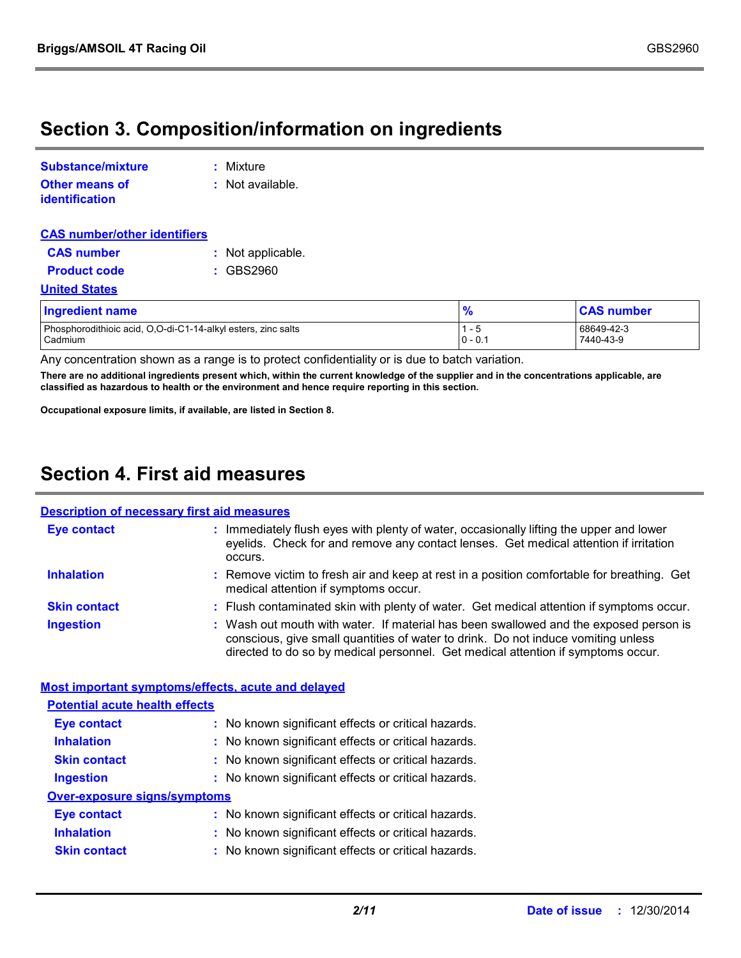### **Section 3. Composition/information on ingredients**

| <b>Substance/mixture</b>                | : Mixture        |
|-----------------------------------------|------------------|
| <b>Other means of</b><br>identification | : Not available. |

| <b>CAS number/other identifiers</b> |                   |
|-------------------------------------|-------------------|
| <b>CAS number</b>                   | : Not applicable. |
| <b>Product code</b>                 | $:$ GBS2960       |
| <b>United States</b>                |                   |

| <b>Ingredient name</b>                                        | l o       | <b>CAS number</b> |
|---------------------------------------------------------------|-----------|-------------------|
| Phosphorodithioic acid, O,O-di-C1-14-alkyl esters, zinc salts | l 1       | 68649-42-3        |
| Cadmium                                                       | $0 - 0.1$ | 7440-43-9         |

Any concentration shown as a range is to protect confidentiality or is due to batch variation.

**There are no additional ingredients present which, within the current knowledge of the supplier and in the concentrations applicable, are classified as hazardous to health or the environment and hence require reporting in this section.**

**Occupational exposure limits, if available, are listed in Section 8.**

### **Section 4. First aid measures**

#### **Description of necessary first aid measures**

| Eye contact                                        | : Immediately flush eyes with plenty of water, occasionally lifting the upper and lower<br>eyelids. Check for and remove any contact lenses. Get medical attention if irritation<br>occurs.                                                                    |
|----------------------------------------------------|----------------------------------------------------------------------------------------------------------------------------------------------------------------------------------------------------------------------------------------------------------------|
| <b>Inhalation</b>                                  | : Remove victim to fresh air and keep at rest in a position comfortable for breathing. Get<br>medical attention if symptoms occur.                                                                                                                             |
| <b>Skin contact</b>                                | : Flush contaminated skin with plenty of water. Get medical attention if symptoms occur.                                                                                                                                                                       |
| <b>Ingestion</b>                                   | : Wash out mouth with water. If material has been swallowed and the exposed person is<br>conscious, give small quantities of water to drink. Do not induce vomiting unless<br>directed to do so by medical personnel. Get medical attention if symptoms occur. |
| Most important symptoms/effects, acute and delayed |                                                                                                                                                                                                                                                                |
| <b>Potential acute health effects</b>              |                                                                                                                                                                                                                                                                |
| <b>Eye contact</b>                                 | : No known significant effects or critical hazards.                                                                                                                                                                                                            |
| <b>Inhalation</b>                                  | : No known significant effects or critical hazards.                                                                                                                                                                                                            |
| <b>Skin contact</b>                                | : No known significant effects or critical hazards.                                                                                                                                                                                                            |
| lagaatina                                          | . No known aignificant offects or exities became                                                                                                                                                                                                               |

#### **Ingestion :** No known significant effects or critical hazards.

### **Over-exposure signs/symptoms**

| <b>Eye contact</b> | : No known significant effects or critical hazards. |
|--------------------|-----------------------------------------------------|
| <b>Inhalation</b>  | : No known significant effects or critical hazards. |

**Skin contact** No known significant effects or critical hazards. **:**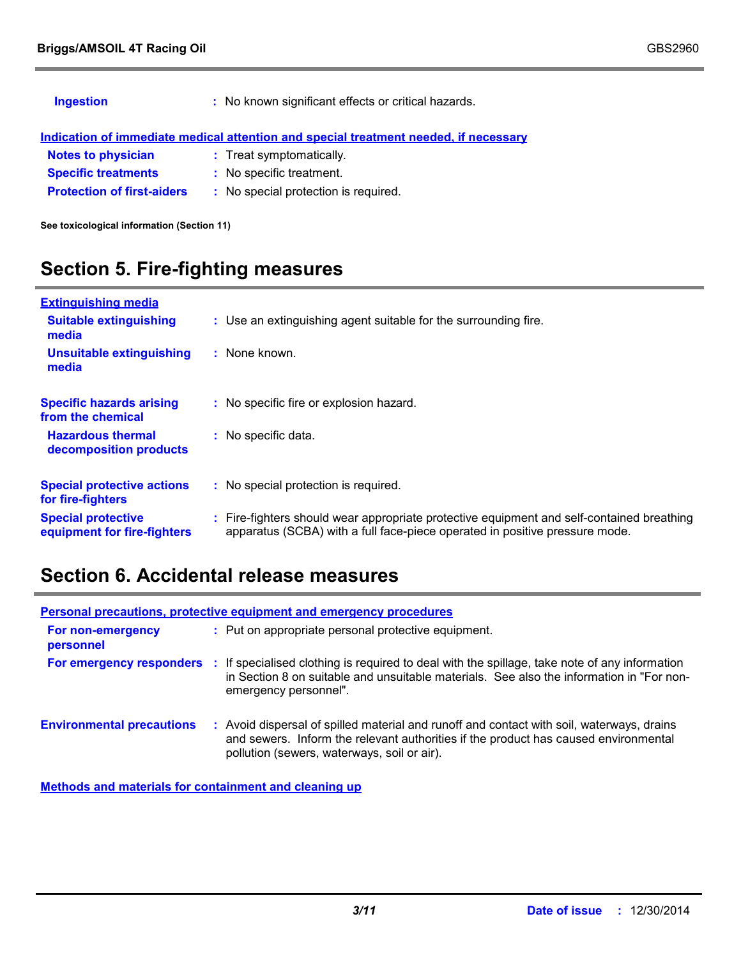| <b>Ingestion</b>                  | : No known significant effects or critical hazards.                                  |
|-----------------------------------|--------------------------------------------------------------------------------------|
|                                   | Indication of immediate medical attention and special treatment needed, if necessary |
| <b>Notes to physician</b>         | : Treat symptomatically.                                                             |
| <b>Specific treatments</b>        | : No specific treatment.                                                             |
| <b>Protection of first-aiders</b> | : No special protection is required.                                                 |
|                                   |                                                                                      |

**See toxicological information (Section 11)**

### **Section 5. Fire-fighting measures**

| <b>Extinguishing media</b>                               |                                                                                                                                                                        |
|----------------------------------------------------------|------------------------------------------------------------------------------------------------------------------------------------------------------------------------|
| <b>Suitable extinguishing</b><br>media                   | : Use an extinguishing agent suitable for the surrounding fire.                                                                                                        |
| <b>Unsuitable extinguishing</b><br>media                 | $:$ None known.                                                                                                                                                        |
| <b>Specific hazards arising</b><br>from the chemical     | : No specific fire or explosion hazard.                                                                                                                                |
| <b>Hazardous thermal</b><br>decomposition products       | : No specific data.                                                                                                                                                    |
| <b>Special protective actions</b><br>for fire-fighters   | : No special protection is required.                                                                                                                                   |
| <b>Special protective</b><br>equipment for fire-fighters | Fire-fighters should wear appropriate protective equipment and self-contained breathing<br>apparatus (SCBA) with a full face-piece operated in positive pressure mode. |

### **Section 6. Accidental release measures**

| <b>Personal precautions, protective equipment and emergency procedures</b> |  |                                                                                                                                                                                                                                 |  |
|----------------------------------------------------------------------------|--|---------------------------------------------------------------------------------------------------------------------------------------------------------------------------------------------------------------------------------|--|
| For non-emergency<br>personnel                                             |  | : Put on appropriate personal protective equipment.                                                                                                                                                                             |  |
| <b>For emergency responders :</b>                                          |  | If specialised clothing is required to deal with the spillage, take note of any information<br>in Section 8 on suitable and unsuitable materials. See also the information in "For non-<br>emergency personnel".                |  |
| <b>Environmental precautions</b>                                           |  | : Avoid dispersal of spilled material and runoff and contact with soil, waterways, drains<br>and sewers. Inform the relevant authorities if the product has caused environmental<br>pollution (sewers, waterways, soil or air). |  |

**Methods and materials for containment and cleaning up**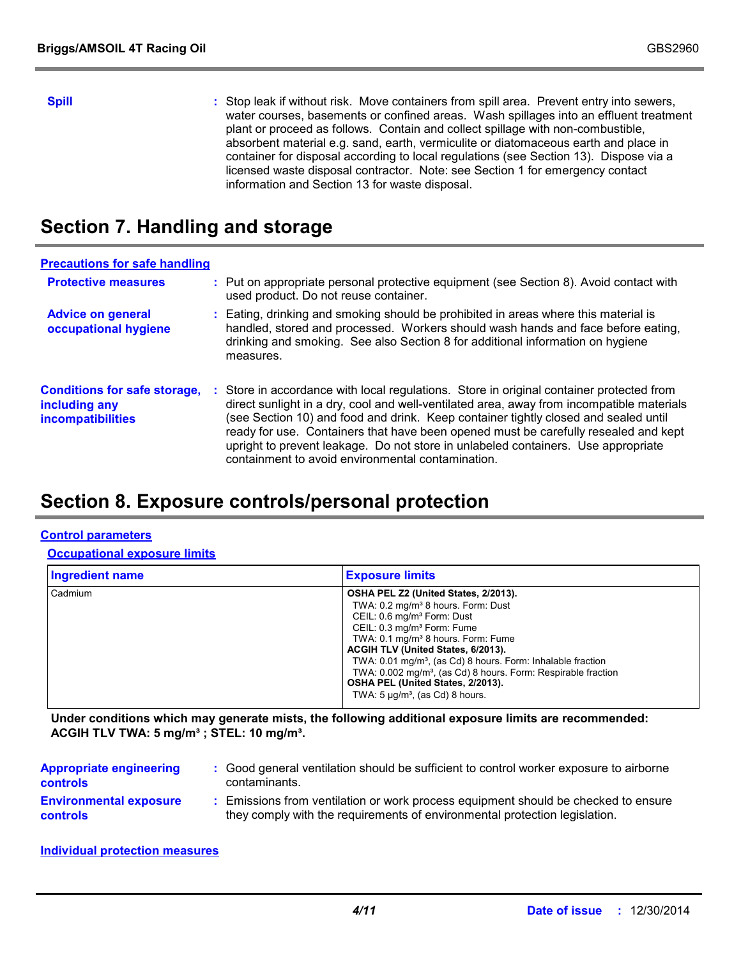**Spill** Stop leak if without risk. Move containers from spill area. Prevent entry into sewers, water courses, basements or confined areas. Wash spillages into an effluent treatment plant or proceed as follows. Contain and collect spillage with non-combustible, absorbent material e.g. sand, earth, vermiculite or diatomaceous earth and place in container for disposal according to local regulations (see Section 13). Dispose via a licensed waste disposal contractor. Note: see Section 1 for emergency contact information and Section 13 for waste disposal.

### **Section 7. Handling and storage**

| <b>Precautions for safe handling</b>                                      |    |                                                                                                                                                                                                                                                                                                                                                                                                                                                                                                             |
|---------------------------------------------------------------------------|----|-------------------------------------------------------------------------------------------------------------------------------------------------------------------------------------------------------------------------------------------------------------------------------------------------------------------------------------------------------------------------------------------------------------------------------------------------------------------------------------------------------------|
| <b>Protective measures</b>                                                |    | : Put on appropriate personal protective equipment (see Section 8). Avoid contact with<br>used product. Do not reuse container.                                                                                                                                                                                                                                                                                                                                                                             |
| <b>Advice on general</b><br>occupational hygiene                          |    | : Eating, drinking and smoking should be prohibited in areas where this material is<br>handled, stored and processed. Workers should wash hands and face before eating,<br>drinking and smoking. See also Section 8 for additional information on hygiene<br>measures.                                                                                                                                                                                                                                      |
| <b>Conditions for safe storage,</b><br>including any<br>incompatibilities | ÷. | Store in accordance with local regulations. Store in original container protected from<br>direct sunlight in a dry, cool and well-ventilated area, away from incompatible materials<br>(see Section 10) and food and drink. Keep container tightly closed and sealed until<br>ready for use. Containers that have been opened must be carefully resealed and kept<br>upright to prevent leakage. Do not store in unlabeled containers. Use appropriate<br>containment to avoid environmental contamination. |

### **Section 8. Exposure controls/personal protection**

#### **Control parameters**

#### **Occupational exposure limits**

| <b>Ingredient name</b> | <b>Exposure limits</b>                                                                                                                                                                                                                                                                                                                                                                                                                                                                                   |
|------------------------|----------------------------------------------------------------------------------------------------------------------------------------------------------------------------------------------------------------------------------------------------------------------------------------------------------------------------------------------------------------------------------------------------------------------------------------------------------------------------------------------------------|
| Cadmium                | OSHA PEL Z2 (United States, 2/2013).<br>TWA: 0.2 mg/m <sup>3</sup> 8 hours. Form: Dust<br>CEIL: 0.6 mg/m <sup>3</sup> Form: Dust<br>CEIL: 0.3 mg/m <sup>3</sup> Form: Fume<br>TWA: 0.1 mg/m <sup>3</sup> 8 hours. Form: Fume<br>ACGIH TLV (United States, 6/2013).<br>TWA: 0.01 mg/m <sup>3</sup> , (as Cd) 8 hours. Form: Inhalable fraction<br>TWA: 0.002 mg/m <sup>3</sup> , (as Cd) 8 hours. Form: Respirable fraction<br>OSHA PEL (United States, 2/2013).<br>TWA: $5 \mu q/m^3$ , (as Cd) 8 hours. |

**Under conditions which may generate mists, the following additional exposure limits are recommended: ACGIH TLV TWA: 5 mg/m³ ; STEL: 10 mg/m³.**

| <b>Appropriate engineering</b> | : Good general ventilation should be sufficient to control worker exposure to airborne |
|--------------------------------|----------------------------------------------------------------------------------------|
| <b>controls</b>                | contaminants.                                                                          |
| <b>Environmental exposure</b>  | : Emissions from ventilation or work process equipment should be checked to ensure     |
| <b>controls</b>                | they comply with the requirements of environmental protection legislation.             |

**Individual protection measures**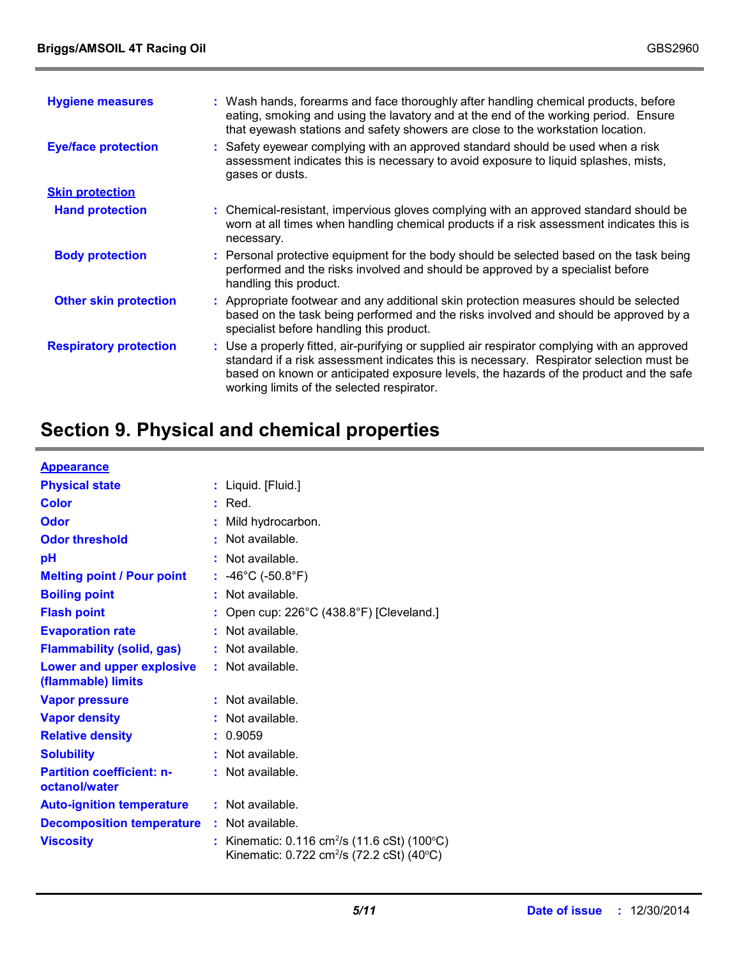| <b>Hygiene measures</b>       | : Wash hands, forearms and face thoroughly after handling chemical products, before                                                                                                                                                                                                                                             |
|-------------------------------|---------------------------------------------------------------------------------------------------------------------------------------------------------------------------------------------------------------------------------------------------------------------------------------------------------------------------------|
|                               | eating, smoking and using the lavatory and at the end of the working period. Ensure<br>that eyewash stations and safety showers are close to the workstation location.                                                                                                                                                          |
| <b>Eye/face protection</b>    | : Safety eyewear complying with an approved standard should be used when a risk<br>assessment indicates this is necessary to avoid exposure to liquid splashes, mists,<br>gases or dusts.                                                                                                                                       |
| <b>Skin protection</b>        |                                                                                                                                                                                                                                                                                                                                 |
| <b>Hand protection</b>        | : Chemical-resistant, impervious gloves complying with an approved standard should be<br>worn at all times when handling chemical products if a risk assessment indicates this is<br>necessary.                                                                                                                                 |
| <b>Body protection</b>        | : Personal protective equipment for the body should be selected based on the task being<br>performed and the risks involved and should be approved by a specialist before<br>handling this product.                                                                                                                             |
| <b>Other skin protection</b>  | : Appropriate footwear and any additional skin protection measures should be selected<br>based on the task being performed and the risks involved and should be approved by a<br>specialist before handling this product.                                                                                                       |
| <b>Respiratory protection</b> | : Use a properly fitted, air-purifying or supplied air respirator complying with an approved<br>standard if a risk assessment indicates this is necessary. Respirator selection must be<br>based on known or anticipated exposure levels, the hazards of the product and the safe<br>working limits of the selected respirator. |

## **Section 9. Physical and chemical properties**

| <b>Appearance</b>                                 |                                                                                                                                   |
|---------------------------------------------------|-----------------------------------------------------------------------------------------------------------------------------------|
| <b>Physical state</b>                             | : Liquid. [Fluid.]                                                                                                                |
| <b>Color</b>                                      | $:$ Red.                                                                                                                          |
| <b>Odor</b>                                       | : Mild hydrocarbon.                                                                                                               |
| <b>Odor threshold</b>                             | : Not available.                                                                                                                  |
| pH                                                | : Not available.                                                                                                                  |
| <b>Melting point / Pour point</b>                 | : $-46^{\circ}$ C ( $-50.8^{\circ}$ F)                                                                                            |
| <b>Boiling point</b>                              | : Not available.                                                                                                                  |
| <b>Flash point</b>                                | Open cup: 226°C (438.8°F) [Cleveland.]                                                                                            |
| <b>Evaporation rate</b>                           | $:$ Not available.                                                                                                                |
| <b>Flammability (solid, gas)</b>                  | : Not available.                                                                                                                  |
| Lower and upper explosive<br>(flammable) limits   | : Not available.                                                                                                                  |
| <b>Vapor pressure</b>                             | : Not available.                                                                                                                  |
| <b>Vapor density</b>                              | Not available.                                                                                                                    |
| <b>Relative density</b>                           | 0.9059<br>÷.                                                                                                                      |
| <b>Solubility</b>                                 | : Not available.                                                                                                                  |
| <b>Partition coefficient: n-</b><br>octanol/water | : Not available.                                                                                                                  |
| <b>Auto-ignition temperature</b>                  | $:$ Not available.                                                                                                                |
| <b>Decomposition temperature</b>                  | : Not available.                                                                                                                  |
| <b>Viscosity</b>                                  | : Kinematic: $0.116 \text{ cm}^2/\text{s}$ (11.6 cSt) (100 $^{\circ}$ C)<br>Kinematic: 0.722 cm <sup>2</sup> /s (72.2 cSt) (40°C) |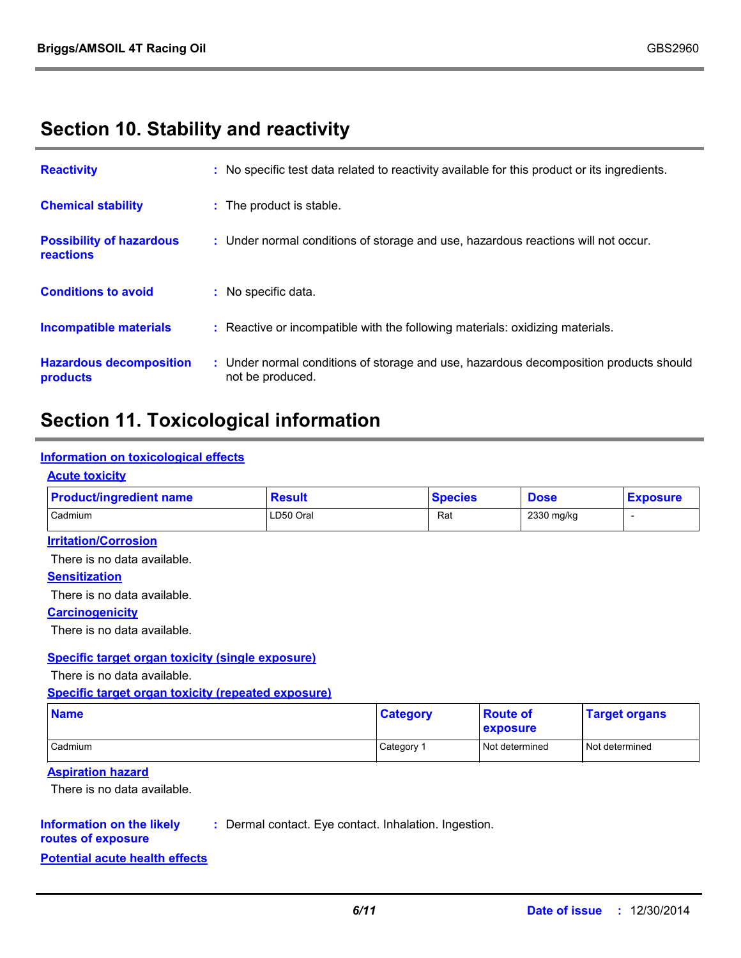### **Section 10. Stability and reactivity**

| <b>Reactivity</b>                            | : No specific test data related to reactivity available for this product or its ingredients.              |
|----------------------------------------------|-----------------------------------------------------------------------------------------------------------|
| <b>Chemical stability</b>                    | : The product is stable.                                                                                  |
| <b>Possibility of hazardous</b><br>reactions | : Under normal conditions of storage and use, hazardous reactions will not occur.                         |
| <b>Conditions to avoid</b>                   | : No specific data.                                                                                       |
| <b>Incompatible materials</b>                | : Reactive or incompatible with the following materials: oxidizing materials.                             |
| <b>Hazardous decomposition</b><br>products   | : Under normal conditions of storage and use, hazardous decomposition products should<br>not be produced. |

### **Section 11. Toxicological information**

#### **Information on toxicological effects**

#### **Acute toxicity**

| <b>Product/ingredient name</b> | <b>Result</b> | <b>Species</b> | <b>Dose</b> | <b>Exposure</b> |
|--------------------------------|---------------|----------------|-------------|-----------------|
| Cadmium                        | LD50 Oral     | Rat            | 2330 mg/kg  |                 |

#### **Irritation/Corrosion**

There is no data available.

#### **Sensitization**

There is no data available.

#### **Carcinogenicity**

There is no data available.

#### **Specific target organ toxicity (single exposure)**

There is no data available.

**Specific target organ toxicity (repeated exposure)**

| <b>Name</b>    | <b>Category</b> | <b>Route of</b><br>exposure | <b>Target organs</b> |
|----------------|-----------------|-----------------------------|----------------------|
| <b>Cadmium</b> | Category 1      | Not determined              | Not determined       |

#### **Aspiration hazard**

There is no data available.

#### **Information on the likely :** Dermal contact. Eye contact. Inhalation. Ingestion.

**routes of exposure**

**Potential acute health effects**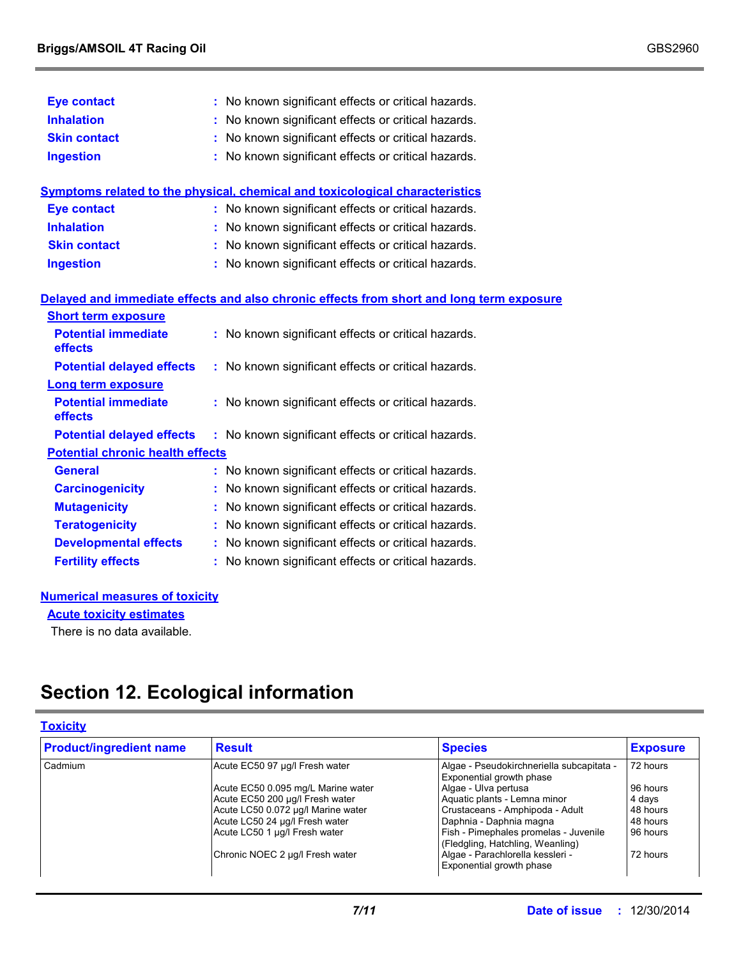| <b>Eye contact</b>                      | : No known significant effects or critical hazards.                                      |
|-----------------------------------------|------------------------------------------------------------------------------------------|
| <b>Inhalation</b>                       | : No known significant effects or critical hazards.                                      |
| <b>Skin contact</b>                     | : No known significant effects or critical hazards.                                      |
| <b>Ingestion</b>                        | : No known significant effects or critical hazards.                                      |
|                                         | Symptoms related to the physical, chemical and toxicological characteristics             |
| <b>Eye contact</b>                      | : No known significant effects or critical hazards.                                      |
| <b>Inhalation</b>                       | : No known significant effects or critical hazards.                                      |
| <b>Skin contact</b>                     | : No known significant effects or critical hazards.                                      |
| <b>Ingestion</b>                        | : No known significant effects or critical hazards.                                      |
|                                         | Delayed and immediate effects and also chronic effects from short and long term exposure |
| <b>Short term exposure</b>              |                                                                                          |
| <b>Potential immediate</b><br>effects   | : No known significant effects or critical hazards.                                      |
| <b>Potential delayed effects</b>        | : No known significant effects or critical hazards.                                      |
| <b>Long term exposure</b>               |                                                                                          |
| <b>Potential immediate</b><br>effects   | : No known significant effects or critical hazards.                                      |
| <b>Potential delayed effects</b>        | : No known significant effects or critical hazards.                                      |
| <b>Potential chronic health effects</b> |                                                                                          |
| <b>General</b>                          | : No known significant effects or critical hazards.                                      |
| <b>Carcinogenicity</b>                  | : No known significant effects or critical hazards.                                      |
| <b>Mutagenicity</b>                     | : No known significant effects or critical hazards.                                      |
| <b>Teratogenicity</b>                   | : No known significant effects or critical hazards.                                      |
| <b>Developmental effects</b>            | : No known significant effects or critical hazards.                                      |
| <b>Fertility effects</b>                | : No known significant effects or critical hazards.                                      |

#### **Numerical measures of toxicity**

**Acute toxicity estimates**

There is no data available.

### **Section 12. Ecological information**

#### **Toxicity**

| <b>Product/ingredient name</b> | <b>Result</b>                      | <b>Species</b>                                                            | <b>Exposure</b> |
|--------------------------------|------------------------------------|---------------------------------------------------------------------------|-----------------|
| Cadmium                        | Acute EC50 97 µg/l Fresh water     | Algae - Pseudokirchneriella subcapitata -<br>Exponential growth phase     | 72 hours        |
|                                | Acute EC50 0.095 mg/L Marine water | Algae - Ulva pertusa                                                      | 96 hours        |
|                                | Acute EC50 200 µg/l Fresh water    | Aquatic plants - Lemna minor                                              | 4 days          |
|                                | Acute LC50 0.072 µg/l Marine water | Crustaceans - Amphipoda - Adult                                           | 48 hours        |
|                                | Acute LC50 24 µg/l Fresh water     | Daphnia - Daphnia magna                                                   | 48 hours        |
|                                | Acute LC50 1 µg/l Fresh water      | Fish - Pimephales promelas - Juvenile<br>(Fledgling, Hatchling, Weanling) | 96 hours        |
|                                | Chronic NOEC 2 µg/l Fresh water    | Algae - Parachlorella kessleri -<br>Exponential growth phase              | 72 hours        |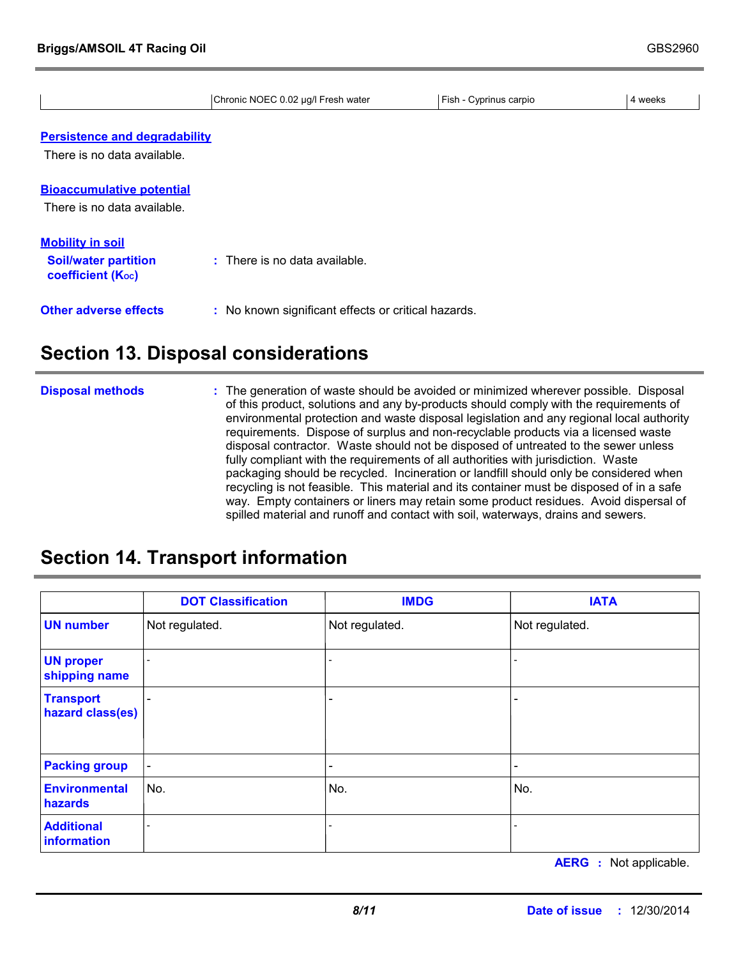|                                                  | Chronic NOEC 0.02 µg/l Fresh water                  | Fish - Cyprinus carpio | 4 weeks |
|--------------------------------------------------|-----------------------------------------------------|------------------------|---------|
|                                                  |                                                     |                        |         |
| <b>Persistence and degradability</b>             |                                                     |                        |         |
| There is no data available.                      |                                                     |                        |         |
| <b>Bioaccumulative potential</b>                 |                                                     |                        |         |
| There is no data available.                      |                                                     |                        |         |
| <b>Mobility in soil</b>                          |                                                     |                        |         |
| <b>Soil/water partition</b><br>coefficient (Koc) | $\therefore$ There is no data available.            |                        |         |
| <b>Other adverse effects</b>                     | : No known significant effects or critical hazards. |                        |         |
|                                                  |                                                     |                        |         |

### **Section 13. Disposal considerations**

The generation of waste should be avoided or minimized wherever possible. Disposal of this product, solutions and any by-products should comply with the requirements of environmental protection and waste disposal legislation and any regional local authority requirements. Dispose of surplus and non-recyclable products via a licensed waste disposal contractor. Waste should not be disposed of untreated to the sewer unless fully compliant with the requirements of all authorities with jurisdiction. Waste packaging should be recycled. Incineration or landfill should only be considered when recycling is not feasible. This material and its container must be disposed of in a safe way. Empty containers or liners may retain some product residues. Avoid dispersal of spilled material and runoff and contact with soil, waterways, drains and sewers. **Disposal methods :**

### **Section 14. Transport information**

|                                      | <b>DOT Classification</b> | <b>IMDG</b>              | <b>IATA</b>              |
|--------------------------------------|---------------------------|--------------------------|--------------------------|
| <b>UN number</b>                     | Not regulated.            | Not regulated.           | Not regulated.           |
| <b>UN proper</b><br>shipping name    | $\overline{\phantom{a}}$  |                          |                          |
| <b>Transport</b><br>hazard class(es) | $\overline{\phantom{a}}$  |                          |                          |
| <b>Packing group</b>                 | $\overline{\phantom{a}}$  | $\overline{\phantom{a}}$ | $\overline{\phantom{0}}$ |
| <b>Environmental</b><br>hazards      | No.                       | No.                      | No.                      |
| <b>Additional</b><br>information     |                           |                          |                          |

**AERG :** Not applicable.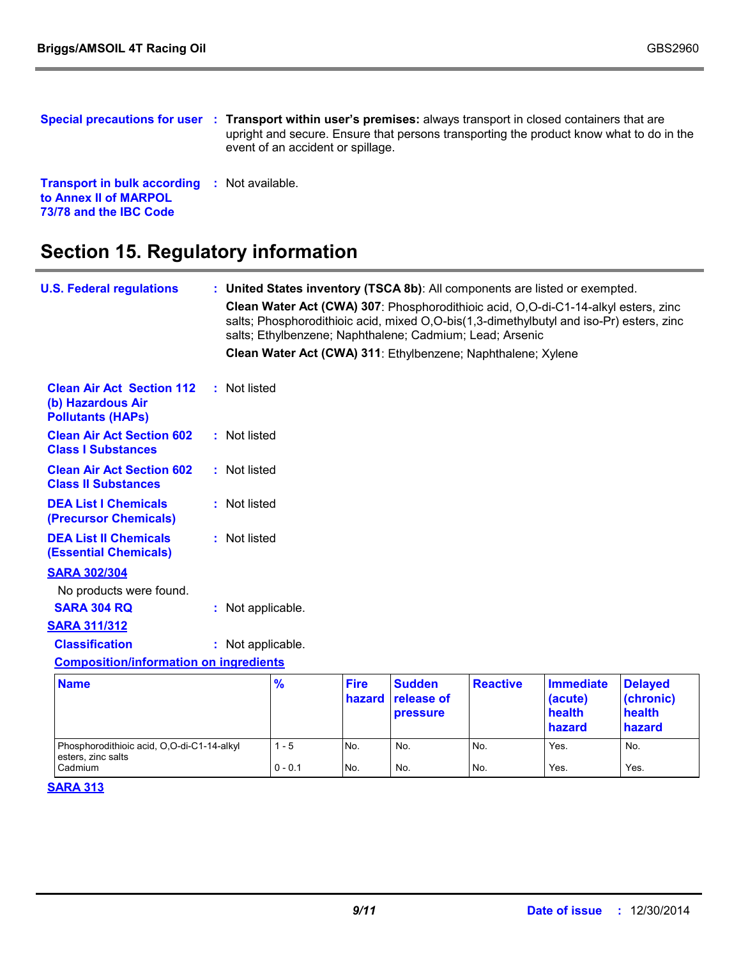|                                                                                                        | Special precautions for user : Transport within user's premises: always transport in closed containers that are<br>upright and secure. Ensure that persons transporting the product know what to do in the<br>event of an accident or spillage. |
|--------------------------------------------------------------------------------------------------------|-------------------------------------------------------------------------------------------------------------------------------------------------------------------------------------------------------------------------------------------------|
| <b>Transport in bulk according : Not available.</b><br>to Annex II of MARPOL<br>73/78 and the IBC Code |                                                                                                                                                                                                                                                 |

# **Section 15. Regulatory information**

| <b>U.S. Federal regulations</b>                                                   |  |                   |               |                       |                                         | : United States inventory (TSCA 8b): All components are listed or exempted.<br>Clean Water Act (CWA) 307: Phosphorodithioic acid, O,O-di-C1-14-alkyl esters, zinc<br>salts; Phosphorodithioic acid, mixed O,O-bis(1,3-dimethylbutyl and iso-Pr) esters, zinc |                                                 |                                                 |
|-----------------------------------------------------------------------------------|--|-------------------|---------------|-----------------------|-----------------------------------------|--------------------------------------------------------------------------------------------------------------------------------------------------------------------------------------------------------------------------------------------------------------|-------------------------------------------------|-------------------------------------------------|
|                                                                                   |  |                   |               |                       |                                         | salts; Ethylbenzene; Naphthalene; Cadmium; Lead; Arsenic                                                                                                                                                                                                     |                                                 |                                                 |
|                                                                                   |  |                   |               |                       |                                         | Clean Water Act (CWA) 311: Ethylbenzene; Naphthalene; Xylene                                                                                                                                                                                                 |                                                 |                                                 |
| <b>Clean Air Act Section 112</b><br>(b) Hazardous Air<br><b>Pollutants (HAPs)</b> |  | : Not listed      |               |                       |                                         |                                                                                                                                                                                                                                                              |                                                 |                                                 |
| <b>Clean Air Act Section 602</b><br><b>Class I Substances</b>                     |  | : Not listed      |               |                       |                                         |                                                                                                                                                                                                                                                              |                                                 |                                                 |
| <b>Clean Air Act Section 602</b><br><b>Class II Substances</b>                    |  | : Not listed      |               |                       |                                         |                                                                                                                                                                                                                                                              |                                                 |                                                 |
| <b>DEA List I Chemicals</b><br>(Precursor Chemicals)                              |  | : Not listed      |               |                       |                                         |                                                                                                                                                                                                                                                              |                                                 |                                                 |
| <b>DEA List II Chemicals</b><br><b>(Essential Chemicals)</b>                      |  | : Not listed      |               |                       |                                         |                                                                                                                                                                                                                                                              |                                                 |                                                 |
| <b>SARA 302/304</b>                                                               |  |                   |               |                       |                                         |                                                                                                                                                                                                                                                              |                                                 |                                                 |
| No products were found.                                                           |  |                   |               |                       |                                         |                                                                                                                                                                                                                                                              |                                                 |                                                 |
| <b>SARA 304 RQ</b>                                                                |  | : Not applicable. |               |                       |                                         |                                                                                                                                                                                                                                                              |                                                 |                                                 |
| <b>SARA 311/312</b>                                                               |  |                   |               |                       |                                         |                                                                                                                                                                                                                                                              |                                                 |                                                 |
| <b>Classification</b>                                                             |  | : Not applicable. |               |                       |                                         |                                                                                                                                                                                                                                                              |                                                 |                                                 |
| <b>Composition/information on ingredients</b>                                     |  |                   |               |                       |                                         |                                                                                                                                                                                                                                                              |                                                 |                                                 |
| <b>Name</b>                                                                       |  |                   | $\frac{9}{6}$ | <b>Fire</b><br>hazard | <b>Sudden</b><br>release of<br>pressure | <b>Reactive</b>                                                                                                                                                                                                                                              | <b>Immediate</b><br>(acute)<br>health<br>hazard | <b>Delayed</b><br>(chronic)<br>health<br>hazard |
| Phosphorodithioic acid, O,O-di-C1-14-alkyl<br>esters, zinc salts                  |  |                   | $1 - 5$       | No.                   | No.                                     | No.                                                                                                                                                                                                                                                          | Yes.                                            | No.                                             |
| Cadmium                                                                           |  |                   | $0 - 0.1$     | No.                   | No.                                     | No.                                                                                                                                                                                                                                                          | Yes.                                            | Yes.                                            |

#### **SARA 313**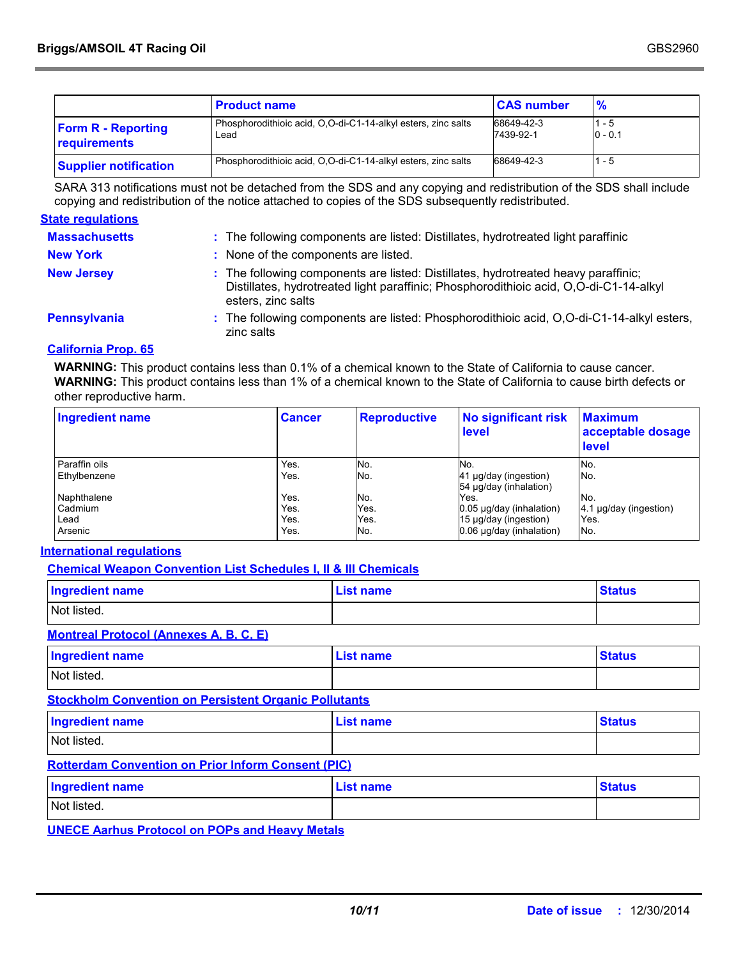|                                           | <b>Product name</b>                                                   | <b>CAS number</b>       | $\frac{9}{6}$        |
|-------------------------------------------|-----------------------------------------------------------------------|-------------------------|----------------------|
| <b>Form R - Reporting</b><br>requirements | Phosphorodithioic acid, O.O-di-C1-14-alkyl esters, zinc salts<br>Lead | 68649-42-3<br>7439-92-1 | $1 - 5$<br>$0 - 0.1$ |
| <b>Supplier notification</b>              | Phosphorodithioic acid, O.O-di-C1-14-alkyl esters, zinc salts         | 68649-42-3              | $1 - 5$              |

SARA 313 notifications must not be detached from the SDS and any copying and redistribution of the SDS shall include copying and redistribution of the notice attached to copies of the SDS subsequently redistributed.

#### **State regulations**

| <b>Massachusetts</b> | : The following components are listed: Distillates, hydrotreated light paraffinic                                                                                                                  |
|----------------------|----------------------------------------------------------------------------------------------------------------------------------------------------------------------------------------------------|
| <b>New York</b>      | : None of the components are listed.                                                                                                                                                               |
| <b>New Jersey</b>    | : The following components are listed: Distillates, hydrotreated heavy paraffinic;<br>Distillates, hydrotreated light paraffinic; Phosphorodithioic acid, O,O-di-C1-14-alkyl<br>esters, zinc salts |
| <b>Pennsylvania</b>  | : The following components are listed: Phosphorodithioic acid, O,O-di-C1-14-alkyl esters,<br>zinc salts                                                                                            |

#### **California Prop. 65**

**WARNING:** This product contains less than 0.1% of a chemical known to the State of California to cause cancer. **WARNING:** This product contains less than 1% of a chemical known to the State of California to cause birth defects or other reproductive harm.

| <b>Ingredient name</b> | <b>Cancer</b> | <b>Reproductive</b> | <b>No significant risk</b><br>level             | <b>Maximum</b><br>acceptable dosage<br>level |
|------------------------|---------------|---------------------|-------------------------------------------------|----------------------------------------------|
| Paraffin oils          | Yes.          | No.                 | No.                                             | No.                                          |
| <b>Ethylbenzene</b>    | Yes.          | No.                 | 41 µg/day (ingestion)<br>54 µg/day (inhalation) | No.                                          |
| Naphthalene            | Yes.          | No.                 | Yes.                                            | No.                                          |
| Cadmium                | Yes.          | Yes.                | 0.05 µg/day (inhalation)                        | 4.1 µg/day (ingestion)                       |
| Lead                   | Yes.          | Yes.                | 15 µg/day (ingestion)                           | Yes.                                         |
| Arsenic                | Yes.          | No.                 | 0.06 µg/day (inhalation)                        | No.                                          |

#### **International regulations**

**Chemical Weapon Convention List Schedules I, II & III Chemicals**

| <b>Ingredient name</b>               | <b>List name</b> | <b>Status</b> |
|--------------------------------------|------------------|---------------|
| Not listed.                          |                  |               |
| Mantucal Ductoral (Announce A.D.O.E) |                  |               |

#### **Montreal Protocol (Annexes A, B, C, E)**

| <b>Ingredient name</b>                                       | <b>List name</b> | <b>Status</b> |  |
|--------------------------------------------------------------|------------------|---------------|--|
| Not listed.                                                  |                  |               |  |
| <b>Stockholm Convention on Persistent Organic Pollutants</b> |                  |               |  |

### Not listed. **Ingredient name Constanting Constanting List name Constanting Constanting Constanting Constanting Constanting Constanting Constanting Constanting Constanting Constanting Constanting Constanting Constanting Constanting**

#### **Rotterdam Convention on Prior Inform Consent (PIC)**

| <b>Ingredient name</b> | <b>List name</b> | <b>Status</b> |
|------------------------|------------------|---------------|
| Not listed.            |                  |               |

**UNECE Aarhus Protocol on POPs and Heavy Metals**